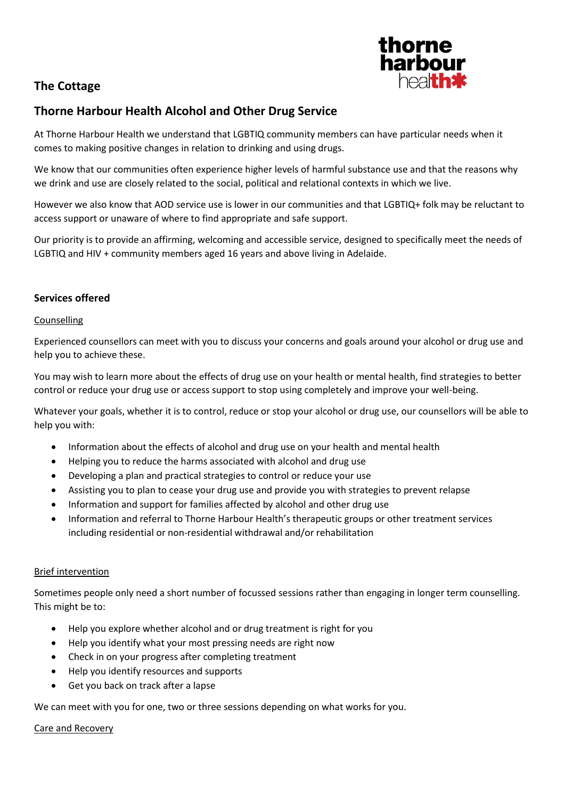# **The Cottage**



## **Thorne Harbour Health Alcohol and Other Drug Service**

At Thorne Harbour Health we understand that LGBTIQ community members can have particular needs when it comes to making positive changes in relation to drinking and using drugs.

We know that our communities often experience higher levels of harmful substance use and that the reasons why we drink and use are closely related to the social, political and relational contexts in which we live.

However we also know that AOD service use is lower in our communities and that LGBTIQ+ folk may be reluctant to access support or unaware of where to find appropriate and safe support.

Our priority is to provide an affirming, welcoming and accessible service, designed to specifically meet the needs of LGBTIQ and HIV + community members aged 16 years and above living in Adelaide.

### **Services offered**

#### Counselling

Experienced counsellors can meet with you to discuss your concerns and goals around your alcohol or drug use and help you to achieve these.

You may wish to learn more about the effects of drug use on your health or mental health, find strategies to better control or reduce your drug use or access support to stop using completely and improve your well-being.

Whatever your goals, whether it is to control, reduce or stop your alcohol or drug use, our counsellors will be able to help you with:

- Information about the effects of alcohol and drug use on your health and mental health
- Helping you to reduce the harms associated with alcohol and drug use
- Developing a plan and practical strategies to control or reduce your use
- Assisting you to plan to cease your drug use and provide you with strategies to prevent relapse
- Information and support for families affected by alcohol and other drug use
- Information and referral to Thorne Harbour Health's therapeutic groups or other treatment services including residential or non-residential withdrawal and/or rehabilitation

### Brief intervention

Sometimes people only need a short number of focussed sessions rather than engaging in longer term counselling. This might be to:

- Help you explore whether alcohol and or drug treatment is right for you
- Help you identify what your most pressing needs are right now
- Check in on your progress after completing treatment
- Help you identify resources and supports
- Get you back on track after a lapse

We can meet with you for one, two or three sessions depending on what works for you.

#### Care and Recovery